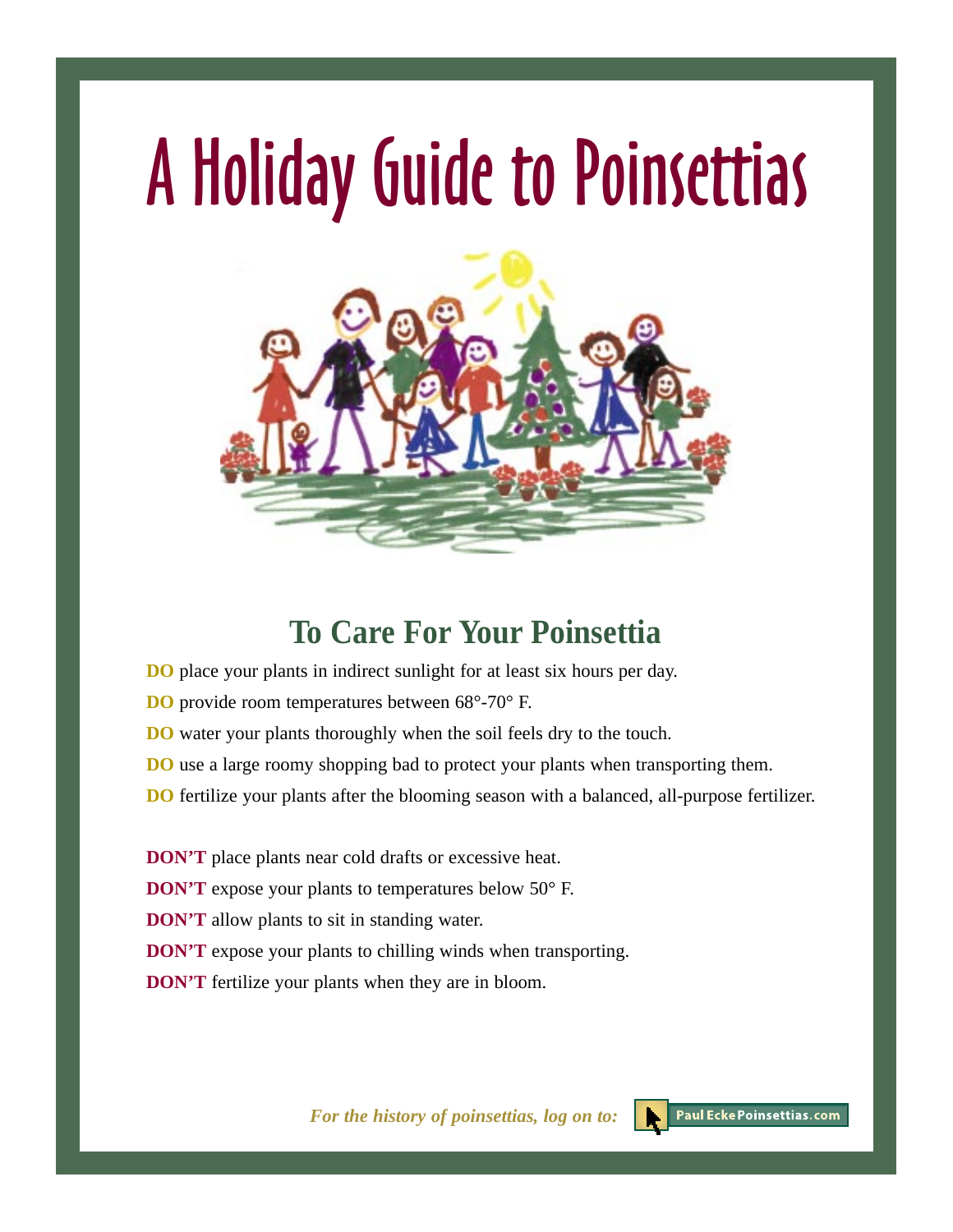# A Holiday Guide to Poinsettias



## **To Care For Your Poinsettia**

- **DO** place your plants in indirect sunlight for at least six hours per day.
- **DO** provide room temperatures between 68°-70° F.
- **DO** water your plants thoroughly when the soil feels dry to the touch.
- **DO** use a large roomy shopping bad to protect your plants when transporting them.
- **DO** fertilize your plants after the blooming season with a balanced, all-purpose fertilizer.
- **DON'T** place plants near cold drafts or excessive heat.
- **DON'T** expose your plants to temperatures below 50° F.
- **DON'T** allow plants to sit in standing water.
- **DON'T** expose your plants to chilling winds when transporting.
- **DON'T** fertilize your plants when they are in bloom.